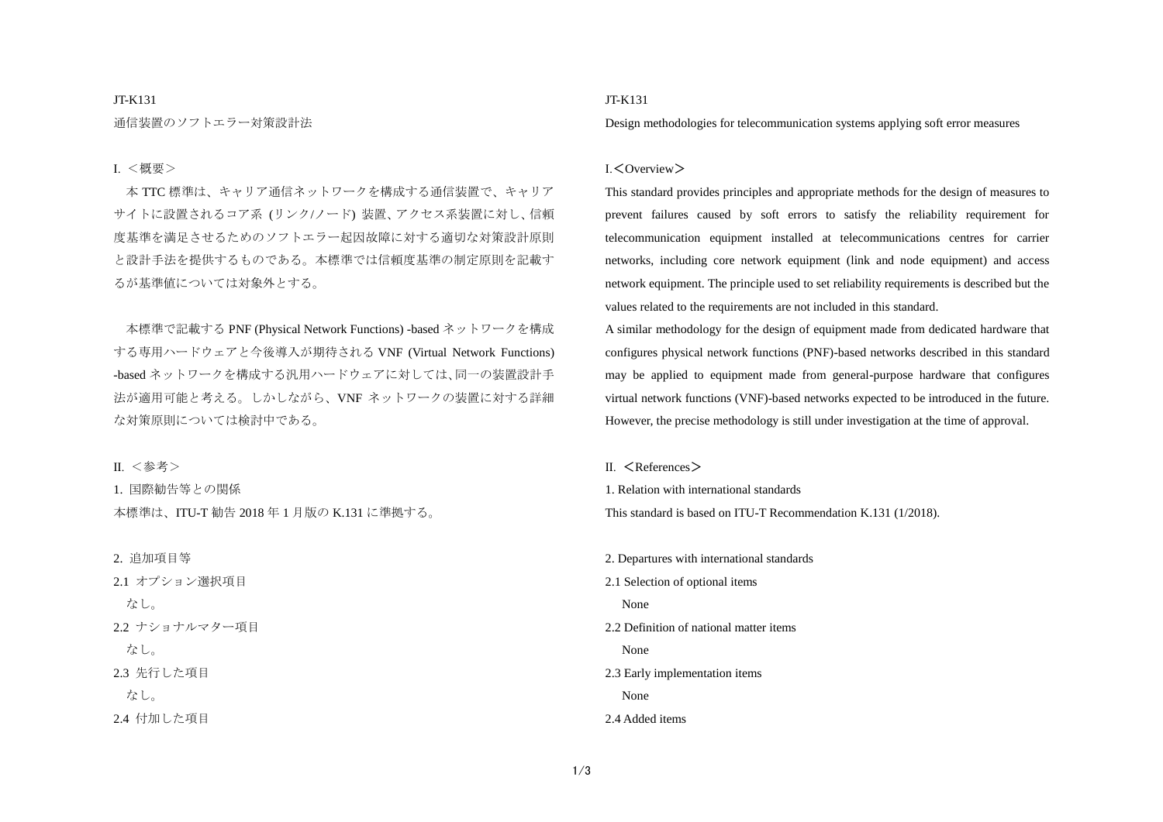#### JT-K131

通信装置のソフトエラー対策設計法

## Ⅰ. <概要>

本 TTC 標準は、キャリア通信ネットワークを構成する通信装置で、キャリア サイトに設置されるコア系 (リンク/ノード) 装置、アクセス系装置に対し、信頼 度基準を満足させるためのソフトエラー起因故障に対する適切な対策設計原則 と設計手法を提供するものである。本標準では信頼度基準の制定原則を記載す るが基準値については対象外とする。

本標準で記載する PNF (Physical Network Functions) -based ネットワークを構成 する専用ハードウェアと今後導入が期待される VNF (Virtual Network Functions) -based ネットワークを構成する汎用ハードウェアに対しては、同一の装置設計手 法が適用可能と考える。しかしながら、VNF ネットワークの装置に対する詳細 な対策原則については検討中である。

Ⅱ. <参考>

1. 国際勧告等との関係 本標準は、ITU-T 勧告 2018 年 1 月版の K.131 に準拠する。

2. 追加項目等 2.1 オプション選択項目

なし。

2.2 ナショナルマター項目

 $f \geq 1$ .

2.3 先行した項目

なし。

2.4 付加した項目

## JT-K131

Design methodologies for telecommunication systems applying soft error measures

## Ⅰ.<Overview>

This standard provides principles and appropriate methods for the design of measures to prevent failures caused by soft errors to satisfy the reliability requirement for telecommunication equipment installed at telecommunications centres for carrier networks, including core network equipment (link and node equipment) and access network equipment. The principle used to set reliability requirements is described but the values related to the requirements are not included in this standard.

A similar methodology for the design of equipment made from dedicated hardware that configures physical network functions (PNF)-based networks described in this standard may be applied to equipment made from general-purpose hardware that configures virtual network functions (VNF)-based networks expected to be introduced in the future. However, the precise methodology is still under investigation at the time of approval.

Ⅱ. <References>

1. Relation with international standards This standard is based on ITU-T Recommendation K.131 (1/2018).

2. Departures with international standards 2.1 Selection of optional items None 2.2 Definition of national matter items None 2.3 Early implementation items None 2.4 Added items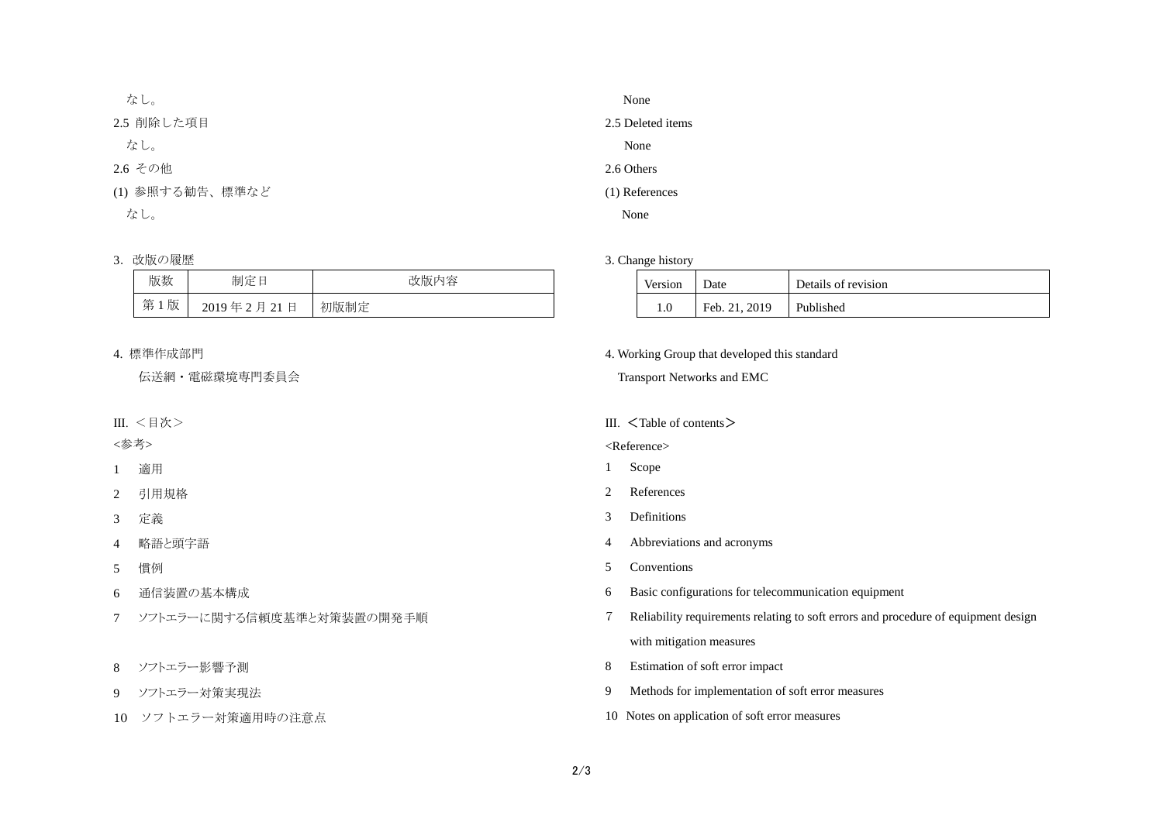| なし。             |  |
|-----------------|--|
| 2.5 削除した項目      |  |
| なし。             |  |
| 2.6 その他         |  |
| (1) 参照する勧告、標準など |  |
| なし。             |  |

# 3. 改版の履歴

| 版数     | きりこく きょうこう きょう きょうしょう きょうきょう きょうしょう<br>制定 | 改版内容 |
|--------|-------------------------------------------|------|
| 第<br>版 | 月 21日<br>$2019$ 年 2                       | 初版制定 |

## 4. 標準作成部門

伝送網・電磁環境専門委員会

Ⅲ. <目次>

<参考>

1 適用

2 引用規格

3 定義

4 略語と頭字語

5 慣例

6 通信装置の基本構成

- 7 ソフトエラーに関する信頼度基準と対策装置の開発手順
- 8 ソフトエラー影響予測
- 9 ソフトエラー対策実現法
- 10 ソフトエラー対策適用時の注意点

# None 2.5 Deleted items None 2.6 Others

(1) References

None

### 3. Change history

| Version | Date          | Details of revision |
|---------|---------------|---------------------|
|         | Feb. 21, 2019 | Published           |

4. Working Group that developed this standard

Transport Networks and EMC

## III.  $\leq$ Table of contents  $\geq$

<Reference>

- 1 Scope
- 2 References
- 3 Definitions
- 4 Abbreviations and acronyms
- 5 Conventions
- 6 Basic configurations for telecommunication equipment
- 7 Reliability requirements relating to soft errors and procedure of equipment design with mitigation measures
- 8 Estimation of soft error impact
- 9 Methods for implementation of soft error measures
- 10 Notes on application of soft error measures